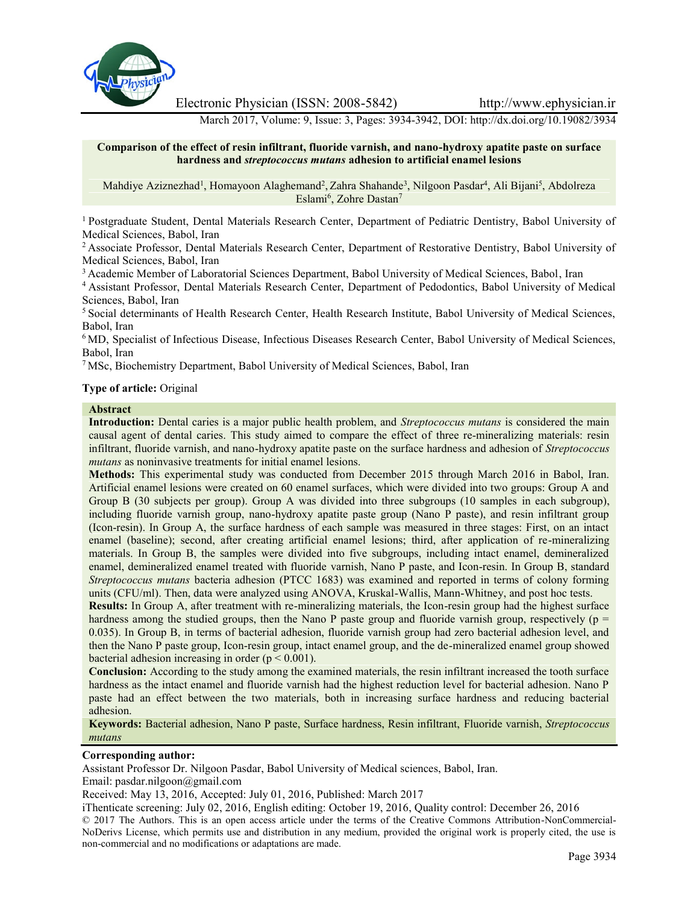

Electronic Physician (ISSN: 2008-5842) http://www.ephysician.ir

March 2017, Volume: 9, Issue: 3, Pages: 3934-3942, DOI: http://dx.doi.org/10.19082/3934

## **Comparison of the effect of resin infiltrant, fluoride varnish, and nano-hydroxy apatite paste on surface hardness and** *streptococcus mutans* **adhesion to artificial enamel lesions**

Mahdiye Aziznezhad<sup>1</sup>, Homayoon Alaghemand<sup>2</sup>, Zahra Shahande<sup>3</sup>, Nilgoon Pasdar<sup>4</sup>, Ali Bijani<sup>5</sup>, Abdolreza Eslami<sup>6</sup>, Zohre Dastan<sup>7</sup>

<sup>1</sup> Postgraduate Student, Dental Materials Research Center, Department of Pediatric Dentistry, Babol University of Medical Sciences, Babol, Iran

<sup>2</sup> Associate Professor, Dental Materials Research Center, Department of Restorative Dentistry, Babol University of Medical Sciences, Babol, Iran

<sup>3</sup> Academic Member of Laboratorial Sciences Department, Babol University of Medical Sciences, Babol, Iran

<sup>4</sup> Assistant Professor, Dental Materials Research Center, Department of Pedodontics, Babol University of Medical Sciences, Babol, Iran

<sup>5</sup> Social determinants of Health Research Center, Health Research Institute, Babol University of Medical Sciences, Babol, Iran

<sup>6</sup> MD, Specialist of Infectious Disease, Infectious Diseases Research Center, Babol University of Medical Sciences, Babol, Iran

<sup>7</sup> MSc, Biochemistry Department, Babol University of Medical Sciences, Babol, Iran

## **Type of article:** Original

#### **Abstract**

**Introduction:** Dental caries is a major public health problem, and *Streptococcus mutans* is considered the main causal agent of dental caries. This study aimed to compare the effect of three re-mineralizing materials: resin infiltrant, fluoride varnish, and nano-hydroxy apatite paste on the surface hardness and adhesion of *Streptococcus mutans* as noninvasive treatments for initial enamel lesions.

**Methods:** This experimental study was conducted from December 2015 through March 2016 in Babol, Iran. Artificial enamel lesions were created on 60 enamel surfaces, which were divided into two groups: Group A and Group B (30 subjects per group). Group A was divided into three subgroups (10 samples in each subgroup), including fluoride varnish group, nano-hydroxy apatite paste group (Nano P paste), and resin infiltrant group (Icon-resin). In Group A, the surface hardness of each sample was measured in three stages: First, on an intact enamel (baseline); second, after creating artificial enamel lesions; third, after application of re-mineralizing materials. In Group B, the samples were divided into five subgroups, including intact enamel, demineralized enamel, demineralized enamel treated with fluoride varnish, Nano P paste, and Icon-resin. In Group B, standard *Streptococcus mutans* bacteria adhesion (PTCC 1683) was examined and reported in terms of colony forming units (CFU/ml). Then, data were analyzed using ANOVA, Kruskal-Wallis, Mann-Whitney, and post hoc tests.

**Results:** In Group A, after treatment with re-mineralizing materials, the Icon-resin group had the highest surface hardness among the studied groups, then the Nano P paste group and fluoride varnish group, respectively ( $p =$ 0.035). In Group B, in terms of bacterial adhesion, fluoride varnish group had zero bacterial adhesion level, and then the Nano P paste group, Icon-resin group, intact enamel group, and the de-mineralized enamel group showed bacterial adhesion increasing in order  $(p < 0.001)$ .

**Conclusion:** According to the study among the examined materials, the resin infiltrant increased the tooth surface hardness as the intact enamel and fluoride varnish had the highest reduction level for bacterial adhesion. Nano P paste had an effect between the two materials, both in increasing surface hardness and reducing bacterial adhesion.

**Keywords:** Bacterial adhesion, Nano P paste, Surface hardness, Resin infiltrant, Fluoride varnish, *Streptococcus mutans*

# **Corresponding author:**

Assistant Professor Dr. Nilgoon Pasdar, Babol University of Medical sciences, Babol, Iran.

Email: pasdar.nilgoon@gmail.com

Received: May 13, 2016, Accepted: July 01, 2016, Published: March 2017

iThenticate screening: July 02, 2016, English editing: October 19, 2016, Quality control: December 26, 2016 © 2017 The Authors. This is an open access article under the terms of the Creative Commons Attribution-NonCommercial- NoDerivs License, which permits use and distribution in any medium, provided the original work is properly cited, the use is non-commercial and no modifications or adaptations are made.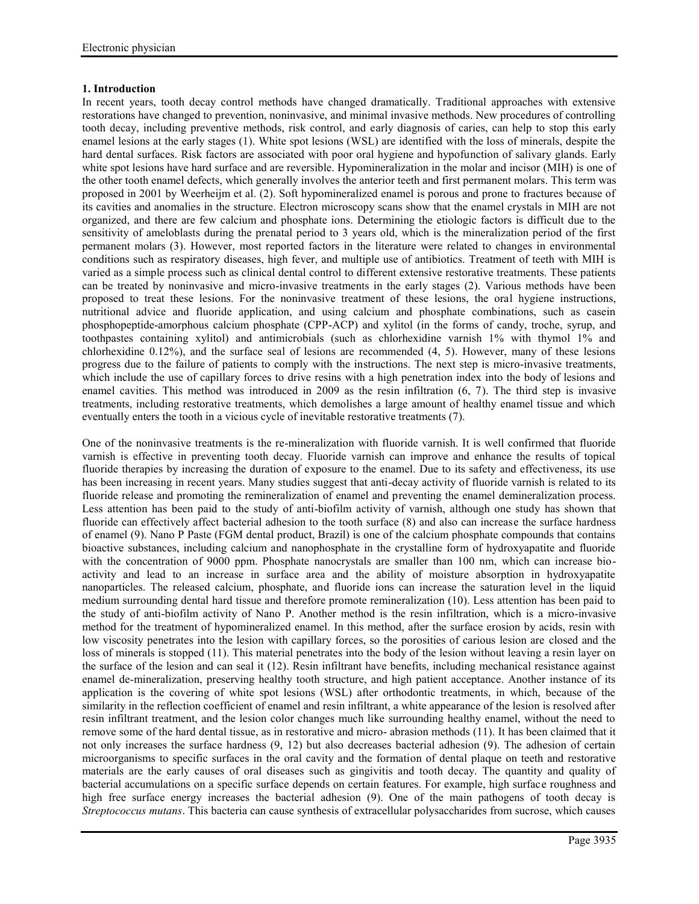# **1. Introduction**

In recent years, tooth decay control methods have changed dramatically. Traditional approaches with extensive restorations have changed to prevention, noninvasive, and minimal invasive methods. New procedures of controlling tooth decay, including preventive methods, risk control, and early diagnosis of caries, can help to stop this early enamel lesions at the early stages (1). White spot lesions (WSL) are identified with the loss of minerals, despite the hard dental surfaces. Risk factors are associated with poor oral hygiene and hypofunction of salivary glands. Early white spot lesions have hard surface and are reversible. Hypomineralization in the molar and incisor (MIH) is one of the other tooth enamel defects, which generally involves the anterior teeth and first permanent molars. This term was proposed in 2001 by Weerheijm et al. (2). Soft hypomineralized enamel is porous and prone to fractures because of its cavities and anomalies in the structure. Electron microscopy scans show that the enamel crystals in MIH are not organized, and there are few calcium and phosphate ions. Determining the etiologic factors is difficult due to the sensitivity of ameloblasts during the prenatal period to 3 years old, which is the mineralization period of the first permanent molars (3). However, most reported factors in the literature were related to changes in environmental conditions such as respiratory diseases, high fever, and multiple use of antibiotics. Treatment of teeth with MIH is varied as a simple process such as clinical dental control to different extensive restorative treatments. These patients can be treated by noninvasive and micro-invasive treatments in the early stages (2). Various methods have been proposed to treat these lesions. For the noninvasive treatment of these lesions, the oral hygiene instructions, nutritional advice and fluoride application, and using calcium and phosphate combinations, such as casein phosphopeptide-amorphous calcium phosphate (CPP-ACP) and xylitol (in the forms of candy, troche, syrup, and toothpastes containing xylitol) and antimicrobials (such as chlorhexidine varnish 1% with thymol 1% and chlorhexidine 0.12%), and the surface seal of lesions are recommended (4, 5). However, many of these lesions progress due to the failure of patients to comply with the instructions. The next step is micro-invasive treatments, which include the use of capillary forces to drive resins with a high penetration index into the body of lesions and enamel cavities. This method was introduced in 2009 as the resin infiltration (6, 7). The third step is invasive treatments, including restorative treatments, which demolishes a large amount of healthy enamel tissue and which eventually enters the tooth in a vicious cycle of inevitable restorative treatments (7).

One of the noninvasive treatments is the re-mineralization with fluoride varnish. It is well confirmed that fluoride varnish is effective in preventing tooth decay. Fluoride varnish can improve and enhance the results of topical fluoride therapies by increasing the duration of exposure to the enamel. Due to its safety and effectiveness, its use has been increasing in recent years. Many studies suggest that anti-decay activity of fluoride varnish is related to its fluoride release and promoting the remineralization of enamel and preventing the enamel demineralization process. Less attention has been paid to the study of anti-biofilm activity of varnish, although one study has shown that fluoride can effectively affect bacterial adhesion to the tooth surface (8) and also can increase the surface hardness of enamel (9). Nano P Paste (FGM dental product, Brazil) is one of the calcium phosphate compounds that contains bioactive substances, including calcium and nanophosphate in the crystalline form of hydroxyapatite and fluoride with the concentration of 9000 ppm. Phosphate nanocrystals are smaller than 100 nm, which can increase bioactivity and lead to an increase in surface area and the ability of moisture absorption in hydroxyapatite nanoparticles. The released calcium, phosphate, and fluoride ions can increase the saturation level in the liquid medium surrounding dental hard tissue and therefore promote remineralization (10). Less attention has been paid to the study of anti-biofilm activity of Nano P. Another method is the resin infiltration, which is a micro-invasive method for the treatment of hypomineralized enamel. In this method, after the surface erosion by acids, resin with low viscosity penetrates into the lesion with capillary forces, so the porosities of carious lesion are closed and the loss of minerals is stopped (11). This material penetrates into the body of the lesion without leaving a resin layer on the surface of the lesion and can seal it (12). Resin infiltrant have benefits, including mechanical resistance against enamel de-mineralization, preserving healthy tooth structure, and high patient acceptance. Another instance of its application is the covering of white spot lesions (WSL) after orthodontic treatments, in which, because of the similarity in the reflection coefficient of enamel and resin infiltrant, a white appearance of the lesion is resolved after resin infiltrant treatment, and the lesion color changes much like surrounding healthy enamel, without the need to remove some of the hard dental tissue, as in restorative and micro- abrasion methods (11). It has been claimed that it not only increases the surface hardness (9, 12) but also decreases bacterial adhesion (9). The adhesion of certain microorganisms to specific surfaces in the oral cavity and the formation of dental plaque on teeth and restorative materials are the early causes of oral diseases such as gingivitis and tooth decay. The quantity and quality of bacterial accumulations on a specific surface depends on certain features. For example, high surface roughness and high free surface energy increases the bacterial adhesion (9). One of the main pathogens of tooth decay is *Streptococcus mutans*. This bacteria can cause synthesis of extracellular polysaccharides from sucrose, which causes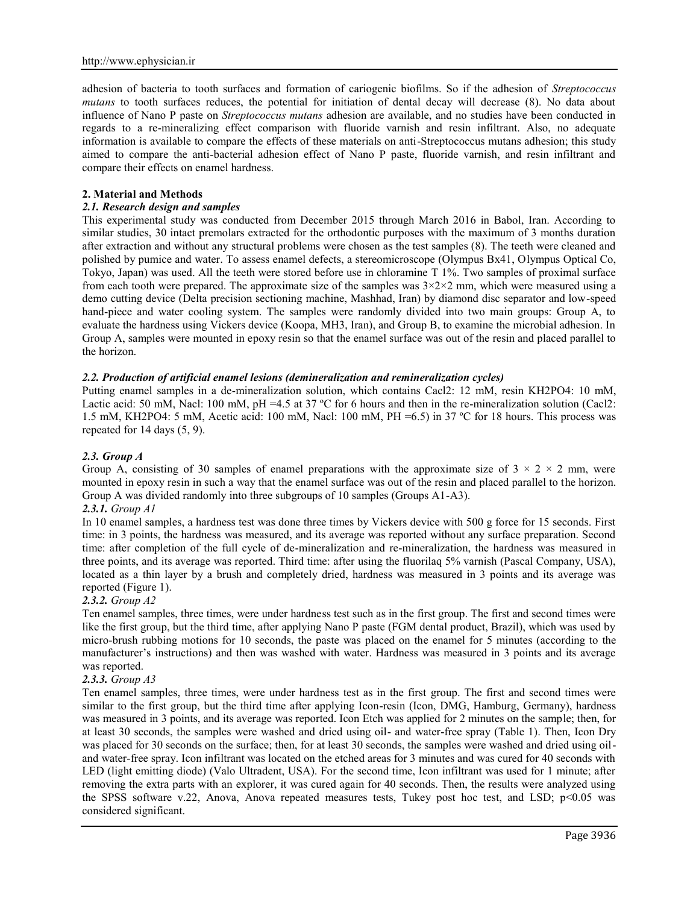adhesion of bacteria to tooth surfaces and formation of cariogenic biofilms. So if the adhesion of *Streptococcus mutans* to tooth surfaces reduces, the potential for initiation of dental decay will decrease (8). No data about influence of Nano P paste on *Streptococcus mutans* adhesion are available, and no studies have been conducted in regards to a re-mineralizing effect comparison with fluoride varnish and resin infiltrant. Also, no adequate information is available to compare the effects of these materials on anti-Streptococcus mutans adhesion; this study aimed to compare the anti-bacterial adhesion effect of Nano P paste, fluoride varnish, and resin infiltrant and compare their effects on enamel hardness.

#### **2. Material and Methods**

## *2.1. Research design and samples*

This experimental study was conducted from December 2015 through March 2016 in Babol, Iran. According to similar studies, 30 intact premolars extracted for the orthodontic purposes with the maximum of 3 months duration after extraction and without any structural problems were chosen as the test samples (8). The teeth were cleaned and polished by pumice and water. To assess enamel defects, a stereomicroscope (Olympus Bx41, Olympus Optical Co, Tokyo, Japan) was used. All the teeth were stored before use in chloramine T 1%. Two samples of proximal surface from each tooth were prepared. The approximate size of the samples was  $3\times2\times2$  mm, which were measured using a demo cutting device (Delta precision sectioning machine, Mashhad, Iran) by diamond disc separator and low-speed hand-piece and water cooling system. The samples were randomly divided into two main groups: Group A, to evaluate the hardness using Vickers device (Koopa, MH3, Iran), and Group B, to examine the microbial adhesion. In Group A, samples were mounted in epoxy resin so that the enamel surface was out of the resin and placed parallel to the horizon.

## *2.2. Production of artificial enamel lesions (demineralization and remineralization cycles)*

Putting enamel samples in a de-mineralization solution, which contains Cacl2: 12 mM, resin KH2PO4: 10 mM, Lactic acid: 50 mM, Nacl: 100 mM, pH =4.5 at 37 °C for 6 hours and then in the re-mineralization solution (Cacl2: 1.5 mM, KH2PO4: 5 mM, Acetic acid: 100 mM, Nacl: 100 mM, PH =6.5) in 37 ºC for 18 hours. This process was repeated for 14 days (5, 9).

## *2.3. Group A*

Group A, consisting of 30 samples of enamel preparations with the approximate size of  $3 \times 2 \times 2$  mm, were mounted in epoxy resin in such a way that the enamel surface was out of the resin and placed parallel to the horizon. Group A was divided randomly into three subgroups of 10 samples (Groups A1-A3).

## *2.3.1. Group A1*

In 10 enamel samples, a hardness test was done three times by Vickers device with 500 g force for 15 seconds. First time: in 3 points, the hardness was measured, and its average was reported without any surface preparation. Second time: after completion of the full cycle of de-mineralization and re-mineralization, the hardness was measured in three points, and its average was reported. Third time: after using the fluorilaq 5% varnish (Pascal Company, USA), located as a thin layer by a brush and completely dried, hardness was measured in 3 points and its average was reported (Figure 1).

#### *2.3.2. Group A2*

Ten enamel samples, three times, were under hardness test such as in the first group. The first and second times were like the first group, but the third time, after applying Nano P paste (FGM dental product, Brazil), which was used by micro-brush rubbing motions for 10 seconds, the paste was placed on the enamel for 5 minutes (according to the manufacturer's instructions) and then was washed with water. Hardness was measured in 3 points and its average was reported.

## *2.3.3. Group A3*

Ten enamel samples, three times, were under hardness test as in the first group. The first and second times were similar to the first group, but the third time after applying Icon-resin (Icon, DMG, Hamburg, Germany), hardness was measured in 3 points, and its average was reported. Icon Etch was applied for 2 minutes on the sample; then, for at least 30 seconds, the samples were washed and dried using oil- and water-free spray (Table 1). Then, Icon Dry was placed for 30 seconds on the surface; then, for at least 30 seconds, the samples were washed and dried using oiland water-free spray. Icon infiltrant was located on the etched areas for 3 minutes and was cured for 40 seconds with LED (light emitting diode) (Valo Ultradent, USA). For the second time, Icon infiltrant was used for 1 minute; after removing the extra parts with an explorer, it was cured again for 40 seconds. Then, the results were analyzed using the SPSS software v.22, Anova, Anova repeated measures tests, Tukey post hoc test, and LSD; p<0.05 was considered significant.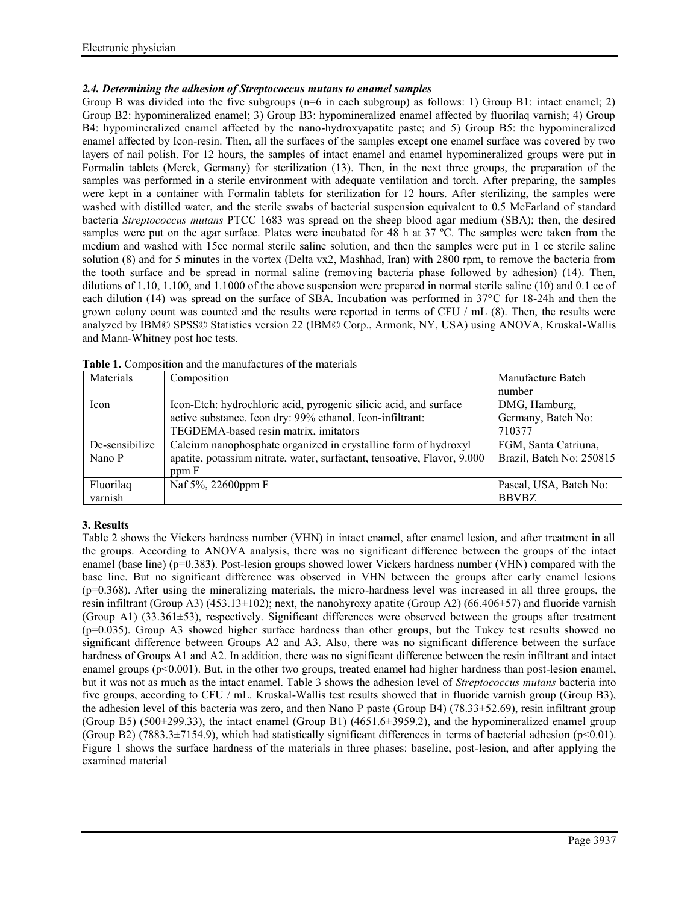# *2.4. Determining the adhesion of Streptococcus mutans to enamel samples*

Group B was divided into the five subgroups ( $n=6$  in each subgroup) as follows: 1) Group B1: intact enamel; 2) Group B2: hypomineralized enamel; 3) Group B3: hypomineralized enamel affected by fluorilaq varnish; 4) Group B4: hypomineralized enamel affected by the nano-hydroxyapatite paste; and 5) Group B5: the hypomineralized enamel affected by Icon-resin. Then, all the surfaces of the samples except one enamel surface was covered by two layers of nail polish. For 12 hours, the samples of intact enamel and enamel hypomineralized groups were put in Formalin tablets (Merck, Germany) for sterilization (13). Then, in the next three groups, the preparation of the samples was performed in a sterile environment with adequate ventilation and torch. After preparing, the samples were kept in a container with Formalin tablets for sterilization for 12 hours. After sterilizing, the samples were washed with distilled water, and the sterile swabs of bacterial suspension equivalent to 0.5 McFarland of standard bacteria *Streptococcus mutans* PTCC 1683 was spread on the sheep blood agar medium (SBA); then, the desired samples were put on the agar surface. Plates were incubated for 48 h at 37 °C. The samples were taken from the medium and washed with 15cc normal sterile saline solution, and then the samples were put in 1 cc sterile saline solution (8) and for 5 minutes in the vortex (Delta vx2, Mashhad, Iran) with 2800 rpm, to remove the bacteria from the tooth surface and be spread in normal saline (removing bacteria phase followed by adhesion) (14). Then, dilutions of 1.10, 1.100, and 1.1000 of the above suspension were prepared in normal sterile saline (10) and 0.1 cc of each dilution (14) was spread on the surface of SBA. Incubation was performed in 37°C for 18-24h and then the grown colony count was counted and the results were reported in terms of CFU / mL (8). Then, the results were analyzed by IBM© SPSS© Statistics version 22 (IBM© Corp., Armonk, NY, USA) using ANOVA, Kruskal-Wallis and Mann-Whitney post hoc tests.

| Materials      | Composition                                                              | Manufacture Batch        |
|----------------|--------------------------------------------------------------------------|--------------------------|
|                |                                                                          | number                   |
| Icon           | Icon-Etch: hydrochloric acid, pyrogenic silicic acid, and surface        | DMG, Hamburg,            |
|                | active substance. Icon dry: 99% ethanol. Icon-infiltrant:                | Germany, Batch No:       |
|                | TEGDEMA-based resin matrix, imitators                                    | 710377                   |
| De-sensibilize | Calcium nanophosphate organized in crystalline form of hydroxyl          | FGM, Santa Catriuna,     |
| Nano P         | apatite, potassium nitrate, water, surfactant, tensoative, Flavor, 9.000 | Brazil, Batch No: 250815 |
|                | ppm F                                                                    |                          |
| Fluorilag      | Naf 5%, 22600ppm F                                                       | Pascal, USA, Batch No:   |
| varnish        |                                                                          | <b>BBVBZ</b>             |

**Table 1.** Composition and the manufactures of the materials

# **3. Results**

Table 2 shows the Vickers hardness number (VHN) in intact enamel, after enamel lesion, and after treatment in all the groups. According to ANOVA analysis, there was no significant difference between the groups of the intact enamel (base line) (p=0.383). Post-lesion groups showed lower Vickers hardness number (VHN) compared with the base line. But no significant difference was observed in VHN between the groups after early enamel lesions  $(p=0.368)$ . After using the mineralizing materials, the micro-hardness level was increased in all three groups, the resin infiltrant (Group A3) (453.13±102); next, the nanohyroxy apatite (Group A2) (66.406±57) and fluoride varnish (Group A1) (33.361±53), respectively. Significant differences were observed between the groups after treatment (p=0.035). Group A3 showed higher surface hardness than other groups, but the Tukey test results showed no significant difference between Groups A2 and A3. Also, there was no significant difference between the surface hardness of Groups A1 and A2. In addition, there was no significant difference between the resin infiltrant and intact enamel groups  $(p<0.001)$ . But, in the other two groups, treated enamel had higher hardness than post-lesion enamel, but it was not as much as the intact enamel. Table 3 shows the adhesion level of *Streptococcus mutans* bacteria into five groups, according to CFU / mL. Kruskal-Wallis test results showed that in fluoride varnish group (Group B3), the adhesion level of this bacteria was zero, and then Nano P paste (Group B4) (78.33±52.69), resin infiltrant group (Group B5) (500±299.33), the intact enamel (Group B1) (4651.6±3959.2), and the hypomineralized enamel group (Group B2) (7883.3 $\pm$ 7154.9), which had statistically significant differences in terms of bacterial adhesion (p<0.01). Figure 1 shows the surface hardness of the materials in three phases: baseline, post-lesion, and after applying the examined material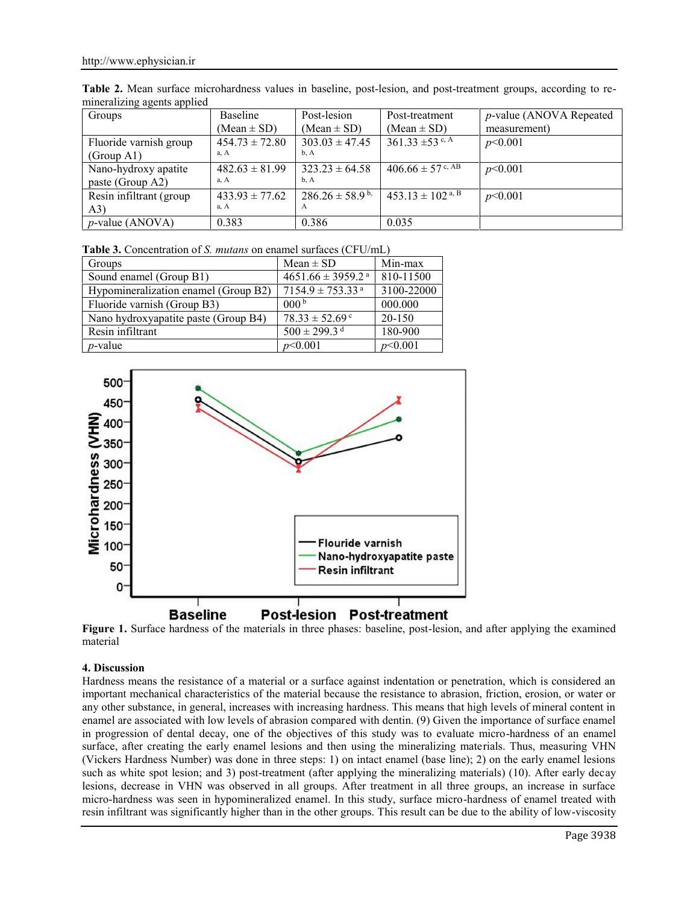| nimeranzing agems applicu |                    |                                |                                  |                                 |
|---------------------------|--------------------|--------------------------------|----------------------------------|---------------------------------|
| Groups                    | Baseline           | Post-lesion                    | Post-treatment                   | <i>p</i> -value (ANOVA Repeated |
|                           | $(Mean \pm SD)$    | $(Mean \pm SD)$                | $(Mean \pm SD)$                  | measurement)                    |
| Fluoride varnish group    | $454.73 \pm 72.80$ | $303.03 \pm 47.45$             | 361.33 $\pm$ 53 c, A             | p<0.001                         |
| (Group A1)                | a, A               | b, A                           |                                  |                                 |
| Nano-hydroxy apatite      | $482.63 \pm 81.99$ | $323.23 \pm 64.58$             | $406.66 \pm 57$ c, AB            | p<0.001                         |
| paste (Group A2)          | a, A               | b. A                           |                                  |                                 |
| Resin infiltrant (group)  | $433.93 \pm 77.62$ | $286.26 \pm 58.9^{\mathrm{b}}$ | $453.13 \pm 102$ <sup>a, B</sup> | p<0.001                         |
| (A3)                      | a, A               | $\mathbf{A}$                   |                                  |                                 |
| $p$ -value (ANOVA)        | 0.383              | 0.386                          | 0.035                            |                                 |

**Table 2.** Mean surface microhardness values in baseline, post-lesion, and post-treatment groups, according to re mineralizing agents applied

**Table 3.** Concentration of *S. mutans* on enamel surfaces (CFU/mL)

| Groups                               | Mean $\pm$ SD                     | Min-max    |
|--------------------------------------|-----------------------------------|------------|
| Sound enamel (Group B1)              | $4651.66 \pm 3959.2$ <sup>a</sup> | 810-11500  |
| Hypomineralization enamel (Group B2) | $7154.9 \pm 753.33$ <sup>a</sup>  | 3100-22000 |
| Fluoride varnish (Group B3)          | 000 <sup>b</sup>                  | 000.000    |
| Nano hydroxyapatite paste (Group B4) | $78.33 \pm 52.69$ c               | 20-150     |
| Resin infiltrant                     | $500 \pm 299.3$ <sup>d</sup>      | 180-900    |
| $p$ -value                           | p<0.001                           | p<0.001    |



**Figure 1.** Surface hardness of the materials in three phases: baseline, post-lesion, and after applying the examined material

# **4. Discussion**

Hardness means the resistance of a material or a surface against indentation or penetration, which is considered an important mechanical characteristics of the material because the resistance to abrasion, friction, erosion, or water or any other substance, in general, increases with increasing hardness. This means that high levels of mineral content in enamel are associated with low levels of abrasion compared with dentin. (9) Given the importance of surface enamel in progression of dental decay, one of the objectives of this study was to evaluate micro-hardness of an enamel surface, after creating the early enamel lesions and then using the mineralizing materials. Thus, measuring VHN (Vickers Hardness Number) was done in three steps: 1) on intact enamel (base line); 2) on the early enamel lesions such as white spot lesion; and 3) post-treatment (after applying the mineralizing materials) (10). After early decay lesions, decrease in VHN was observed in all groups. After treatment in all three groups, an increase in surface micro-hardness was seen in hypomineralized enamel. In this study, surface micro-hardness of enamel treated with resin infiltrant was significantly higher than in the other groups. This result can be due to the ability of low-viscosity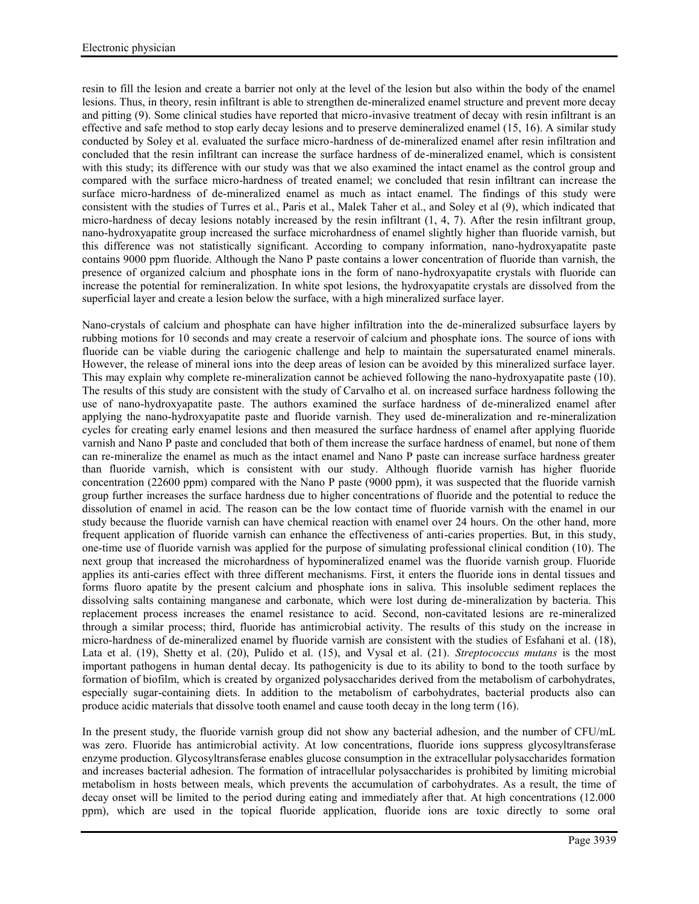resin to fill the lesion and create a barrier not only at the level of the lesion but also within the body of the enamel lesions. Thus, in theory, resin infiltrant is able to strengthen de-mineralized enamel structure and prevent more decay and pitting (9). Some clinical studies have reported that micro-invasive treatment of decay with resin infiltrant is an effective and safe method to stop early decay lesions and to preserve demineralized enamel (15, 16). A similar study conducted by Soley et al. evaluated the surface micro-hardness of de-mineralized enamel after resin infiltration and concluded that the resin infiltrant can increase the surface hardness of de-mineralized enamel, which is consistent with this study; its difference with our study was that we also examined the intact enamel as the control group and compared with the surface micro-hardness of treated enamel; we concluded that resin infiltrant can increase the surface micro-hardness of de-mineralized enamel as much as intact enamel. The findings of this study were consistent with the studies of Turres et al., Paris et al., Malek Taher et al., and Soley et al (9), which indicated that micro-hardness of decay lesions notably increased by the resin infiltrant (1, 4, 7). After the resin infiltrant group, nano-hydroxyapatite group increased the surface microhardness of enamel slightly higher than fluoride varnish, but this difference was not statistically significant. According to company information, nano-hydroxyapatite paste contains 9000 ppm fluoride. Although the Nano P paste contains a lower concentration of fluoride than varnish, the presence of organized calcium and phosphate ions in the form of nano-hydroxyapatite crystals with fluoride can increase the potential for remineralization. In white spot lesions, the hydroxyapatite crystals are dissolved from the superficial layer and create a lesion below the surface, with a high mineralized surface layer.

Nano-crystals of calcium and phosphate can have higher infiltration into the de-mineralized subsurface layers by rubbing motions for 10 seconds and may create a reservoir of calcium and phosphate ions. The source of ions with fluoride can be viable during the cariogenic challenge and help to maintain the supersaturated enamel minerals. However, the release of mineral ions into the deep areas of lesion can be avoided by this mineralized surface layer. This may explain why complete re-mineralization cannot be achieved following the nano-hydroxyapatite paste (10). The results of this study are consistent with the study of Carvalho et al. on increased surface hardness following the use of nano-hydroxyapatite paste. The authors examined the surface hardness of de-mineralized enamel after applying the nano-hydroxyapatite paste and fluoride varnish. They used de-mineralization and re-mineralization cycles for creating early enamel lesions and then measured the surface hardness of enamel after applying fluoride varnish and Nano P paste and concluded that both of them increase the surface hardness of enamel, but none of them can re-mineralize the enamel as much as the intact enamel and Nano P paste can increase surface hardness greater than fluoride varnish, which is consistent with our study. Although fluoride varnish has higher fluoride concentration (22600 ppm) compared with the Nano P paste (9000 ppm), it was suspected that the fluoride varnish group further increases the surface hardness due to higher concentrations of fluoride and the potential to reduce the dissolution of enamel in acid. The reason can be the low contact time of fluoride varnish with the enamel in our study because the fluoride varnish can have chemical reaction with enamel over 24 hours. On the other hand, more frequent application of fluoride varnish can enhance the effectiveness of anti-caries properties. But, in this study, one-time use of fluoride varnish was applied for the purpose of simulating professional clinical condition (10). The next group that increased the microhardness of hypomineralized enamel was the fluoride varnish group. Fluoride applies its anti-caries effect with three different mechanisms. First, it enters the fluoride ions in dental tissues and forms fluoro apatite by the present calcium and phosphate ions in saliva. This insoluble sediment replaces the dissolving salts containing manganese and carbonate, which were lost during de-mineralization by bacteria. This replacement process increases the enamel resistance to acid. Second, non-cavitated lesions are re-mineralized through a similar process; third, fluoride has antimicrobial activity. The results of this study on the increase in micro-hardness of de-mineralized enamel by fluoride varnish are consistent with the studies of Esfahani et al. (18), Lata et al. (19), Shetty et al. (20), Pulido et al. (15), and Vysal et al. (21). *Streptococcus mutans* is the most important pathogens in human dental decay. Its pathogenicity is due to its ability to bond to the tooth surface by formation of biofilm, which is created by organized polysaccharides derived from the metabolism of carbohydrates, especially sugar-containing diets. In addition to the metabolism of carbohydrates, bacterial products also can produce acidic materials that dissolve tooth enamel and cause tooth decay in the long term (16).

In the present study, the fluoride varnish group did not show any bacterial adhesion, and the number of CFU/mL was zero. Fluoride has antimicrobial activity. At low concentrations, fluoride ions suppress glycosyltransferase enzyme production. Glycosyltransferase enables glucose consumption in the extracellular polysaccharides formation and increases bacterial adhesion. The formation of intracellular polysaccharides is prohibited by limiting microbial metabolism in hosts between meals, which prevents the accumulation of carbohydrates. As a result, the time of decay onset will be limited to the period during eating and immediately after that. At high concentrations (12.000 ppm), which are used in the topical fluoride application, fluoride ions are toxic directly to some oral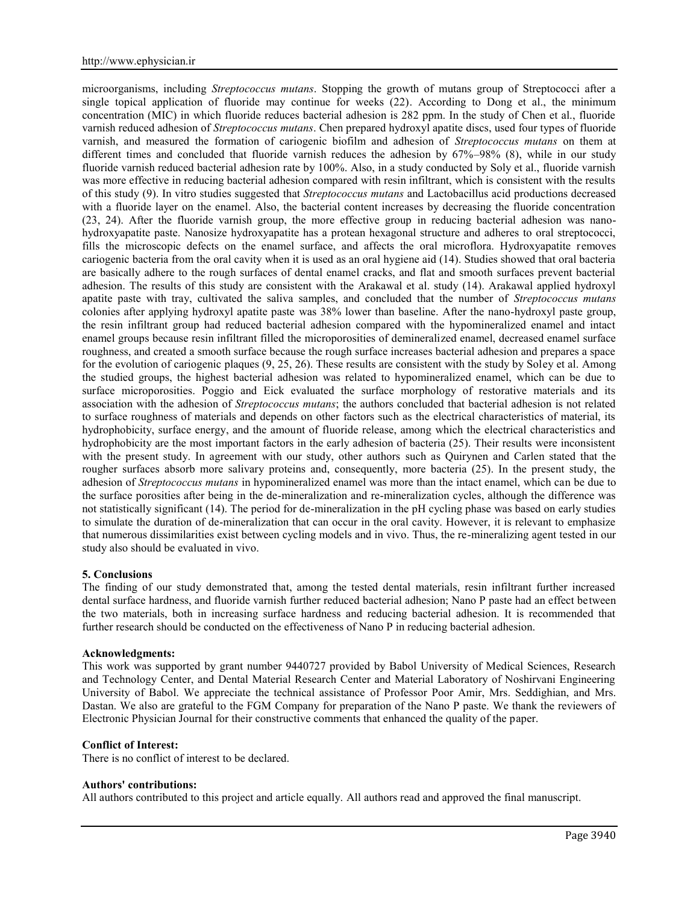microorganisms, including *Streptococcus mutans*. Stopping the growth of mutans group of Streptococci after a single topical application of fluoride may continue for weeks (22). According to Dong et al., the minimum concentration (MIC) in which fluoride reduces bacterial adhesion is 282 ppm. In the study of Chen et al., fluoride varnish reduced adhesion of *Streptococcus mutans*. Chen prepared hydroxyl apatite discs, used four types of fluoride varnish, and measured the formation of cariogenic biofilm and adhesion of *Streptococcus mutans* on them at different times and concluded that fluoride varnish reduces the adhesion by 67%–98% (8), while in our study fluoride varnish reduced bacterial adhesion rate by 100%. Also, in a study conducted by Soly et al., fluoride varnish was more effective in reducing bacterial adhesion compared with resin infiltrant, which is consistent with the results of this study (9). In vitro studies suggested that *Streptococcus mutans* and Lactobacillus acid productions decreased with a fluoride layer on the enamel. Also, the bacterial content increases by decreasing the fluoride concentration (23, 24). After the fluoride varnish group, the more effective group in reducing bacterial adhesion was nano hydroxyapatite paste. Nanosize hydroxyapatite has a protean hexagonal structure and adheres to oral streptococci, fills the microscopic defects on the enamel surface, and affects the oral microflora. Hydroxyapatite removes cariogenic bacteria from the oral cavity when it is used as an oral hygiene aid (14). Studies showed that oral bacteria are basically adhere to the rough surfaces of dental enamel cracks, and flat and smooth surfaces prevent bacterial adhesion. The results of this study are consistent with the Arakawal et al. study (14). Arakawal applied hydroxyl apatite paste with tray, cultivated the saliva samples, and concluded that the number of *Streptococcus mutans* colonies after applying hydroxyl apatite paste was 38% lower than baseline. After the nano-hydroxyl paste group, the resin infiltrant group had reduced bacterial adhesion compared with the hypomineralized enamel and intact enamel groups because resin infiltrant filled the microporosities of demineralized enamel, decreased enamel surface roughness, and created a smooth surface because the rough surface increases bacterial adhesion and prepares a space for the evolution of cariogenic plaques (9, 25, 26). These results are consistent with the study by Soley et al. Among the studied groups, the highest bacterial adhesion was related to hypomineralized enamel, which can be due to surface microporosities. Poggio and Eick evaluated the surface morphology of restorative materials and its association with the adhesion of *Streptococcus mutans*; the authors concluded that bacterial adhesion is not related to surface roughness of materials and depends on other factors such as the electrical characteristics of material, its hydrophobicity, surface energy, and the amount of fluoride release, among which the electrical characteristics and hydrophobicity are the most important factors in the early adhesion of bacteria (25). Their results were inconsistent with the present study. In agreement with our study, other authors such as Quirynen and Carlen stated that the rougher surfaces absorb more salivary proteins and, consequently, more bacteria (25). In the present study, the adhesion of *Streptococcus mutans* in hypomineralized enamel was more than the intact enamel, which can be due to the surface porosities after being in the de-mineralization and re-mineralization cycles, although the difference was not statistically significant (14). The period for de-mineralization in the pH cycling phase was based on early studies to simulate the duration of de-mineralization that can occur in the oral cavity. However, it is relevant to emphasize that numerous dissimilarities exist between cycling models and in vivo. Thus, the re-mineralizing agent tested in our study also should be evaluated in vivo.

# **5. Conclusions**

The finding of our study demonstrated that, among the tested dental materials, resin infiltrant further increased dental surface hardness, and fluoride varnish further reduced bacterial adhesion; Nano P paste had an effect between the two materials, both in increasing surface hardness and reducing bacterial adhesion. It is recommended that further research should be conducted on the effectiveness of Nano P in reducing bacterial adhesion.

#### **Acknowledgments:**

This work was supported by grant number 9440727 provided by Babol University of Medical Sciences, Research and Technology Center, and Dental Material Research Center and Material Laboratory of Noshirvani Engineering University of Babol. We appreciate the technical assistance of Professor Poor Amir, Mrs. Seddighian, and Mrs. Dastan. We also are grateful to the FGM Company for preparation of the Nano P paste. We thank the reviewers of Electronic Physician Journal for their constructive comments that enhanced the quality of the paper.

## **Conflict of Interest:**

There is no conflict of interest to be declared.

#### **Authors' contributions:**

All authors contributed to this project and article equally. All authors read and approved the final manuscript.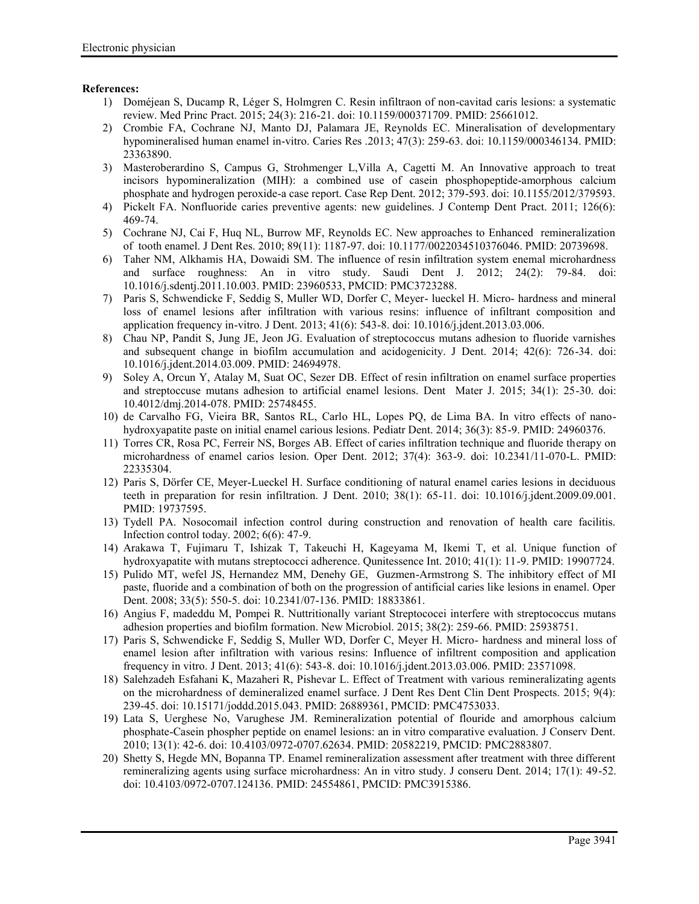# **References:**

- 1) Doméjean S, Ducamp R, Léger S, Holmgren C. Resin infiltraon of non-cavitad caris lesions: a systematic review. Med Princ Pract. 2015; 24(3): 216-21. doi: 10.1159/000371709. PMID: 25661012.
- 2) Crombie FA, Cochrane NJ, Manto DJ, Palamara JE, Reynolds EC. Mineralisation of developmentary hypomineralised human enamel in-vitro. Caries Res .2013; 47(3): 259-63. doi: 10.1159/000346134. PMID: 23363890.
- 3) Masteroberardino S, Campus G, Strohmenger L,Villa A, Cagetti M. An Innovative approach to treat incisors hypomineralization (MIH): a combined use of casein phosphopeptide-amorphous calcium phosphate and hydrogen peroxide-a case report. Case Rep Dent. 2012; 379-593. doi: 10.1155/2012/379593.
- 4) Pickelt FA. Nonfluoride caries preventive agents: new guidelines. J Contemp Dent Pract. 2011; 126(6): 469-74.
- 5) Cochrane NJ, Cai F, Huq NL, Burrow MF, Reynolds EC. New approaches to Enhanced remineralization of tooth enamel. J Dent Res. 2010; 89(11): 1187-97. doi: 10.1177/0022034510376046. PMID: 20739698.
- 6) Taher NM, Alkhamis HA, Dowaidi SM. The influence of resin infiltration system enemal microhardness and surface roughness: An in vitro study. Saudi Dent J. 2012; 24(2): 79-84. doi: 10.1016/j.sdentj.2011.10.003. PMID: 23960533, PMCID: PMC3723288.
- 7) Paris S, Schwendicke F, Seddig S, Muller WD, Dorfer C, Meyer- lueckel H. Micro- hardness and mineral loss of enamel lesions after infiltration with various resins: influence of infiltrant composition and application frequency in-vitro. J Dent. 2013; 41(6): 543-8. doi: 10.1016/j.jdent.2013.03.006.
- 8) Chau NP, Pandit S, Jung JE, Jeon JG. Evaluation of streptococcus mutans adhesion to fluoride varnishes and subsequent change in biofilm accumulation and acidogenicity. J Dent. 2014; 42(6): 726-34. doi: 10.1016/j.jdent.2014.03.009. PMID: 24694978.
- 9) Soley A, Orcun Y, Atalay M, Suat OC, Sezer DB. Effect of resin infiltration on enamel surface properties and streptoccuse mutans adhesion to artificial enamel lesions. Dent Mater J. 2015; 34(1): 25-30. doi: 10.4012/dmj.2014-078. PMID: 25748455.
- 10) de Carvalho FG, Vieira BR, Santos RL, Carlo HL, Lopes PQ, de Lima BA. In vitro effects of nano hydroxyapatite paste on initial enamel carious lesions. Pediatr Dent. 2014; 36(3): 85-9. PMID: 24960376.
- 11) Torres CR, Rosa PC, Ferreir NS, Borges AB. Effect of caries infiltration technique and fluoride therapy on microhardness of enamel carios lesion. Oper Dent. 2012; 37(4): 363-9. doi: 10.2341/11-070-L. PMID: 22335304.
- 12) Paris S, Dörfer CE, Meyer-Lueckel H. Surface conditioning of natural enamel caries lesions in deciduous teeth in preparation for resin infiltration. J Dent. 2010; 38(1): 65-11. doi: 10.1016/j.jdent.2009.09.001. PMID: 19737595.
- 13) Tydell PA. Nosocomail infection control during construction and renovation of health care facilitis. Infection control today. 2002; 6(6): 47-9.
- 14) Arakawa T, Fujimaru T, Ishizak T, Takeuchi H, Kageyama M, Ikemi T, et al. Unique function of hydroxyapatite with mutans streptococci adherence. Qunitessence Int. 2010; 41(1): 11-9. PMID: 19907724.
- 15) Pulido MT, wefel JS, Hernandez MM, Denehy GE, Guzmen-Armstrong S. The inhibitory effect of MI paste, fluoride and a combination of both on the progression of antificial caries like lesions in enamel. Oper Dent. 2008; 33(5): 550-5. doi: 10.2341/07-136. PMID: 18833861.
- 16) Angius F, madeddu M, Pompei R. Nuttritionally variant Streptococei interfere with streptococcus mutans adhesion properties and biofilm formation. New Microbiol. 2015; 38(2): 259-66. PMID: 25938751.
- 17) Paris S, Schwendicke F, Seddig S, Muller WD, Dorfer C, Meyer H. Micro- hardness and mineral loss of enamel lesion after infiltration with various resins: Influence of infiltrent composition and application frequency in vitro. J Dent. 2013; 41(6): 543-8. doi: 10.1016/j.jdent.2013.03.006. PMID: 23571098.
- 18) Salehzadeh Esfahani K, Mazaheri R, Pishevar L. Effect of Treatment with various remineralizating agents on the microhardness of demineralized enamel surface. J Dent Res Dent Clin Dent Prospects. 2015; 9(4): 239-45. doi: 10.15171/joddd.2015.043. PMID: 26889361, PMCID: PMC4753033.
- 19) Lata S, Uerghese No, Varughese JM. Remineralization potential of flouride and amorphous calcium phosphate-Casein phospher peptide on enamel lesions: an in vitro comparative evaluation. J Conserv Dent. 2010; 13(1): 42-6. doi: 10.4103/0972-0707.62634. PMID: 20582219, PMCID: PMC2883807.
- 20) Shetty S, Hegde MN, Bopanna TP. Enamel remineralization assessment after treatment with three different remineralizing agents using surface microhardness: An in vitro study. J conseru Dent. 2014; 17(1): 49-52. doi: 10.4103/0972-0707.124136. PMID: 24554861, PMCID: PMC3915386.